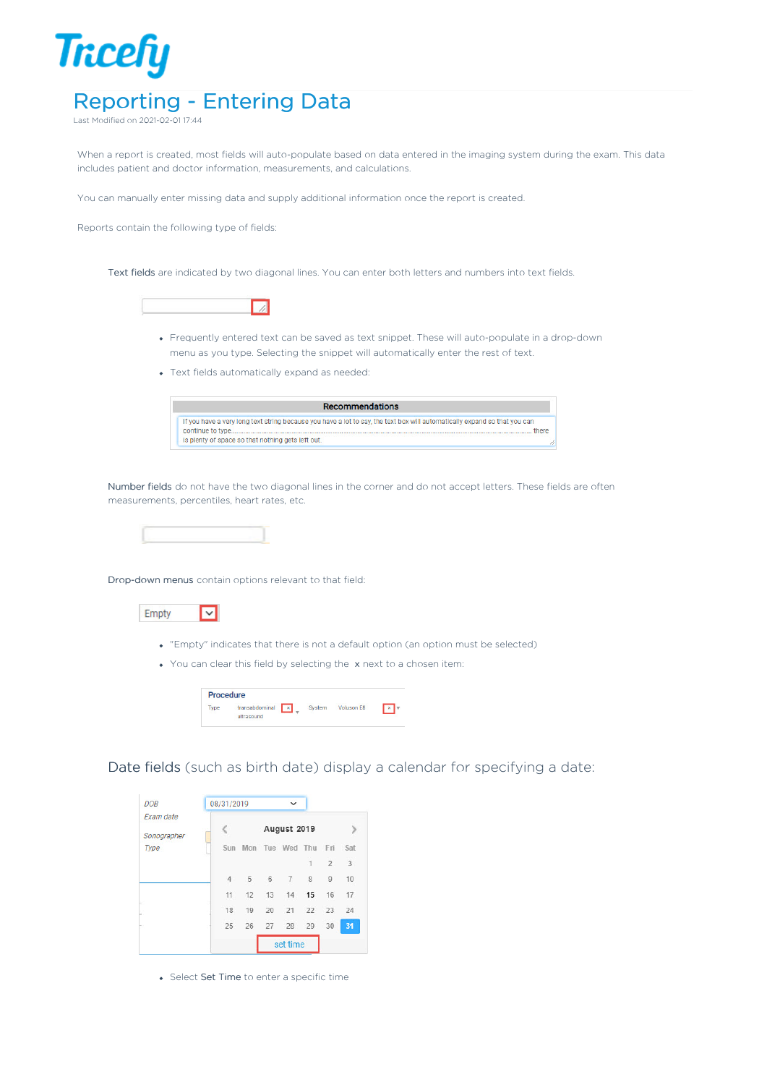

Last Modified on 2021-02-01 17:44

When a report is created, most fields will auto-populate based on data entered in the imaging system during the exam. This data includes patient and doctor information, measurements, and calculations.

You can manually enter missing data and supply additional information once the report is created.

Reports contain the following type of fields:

Text fields are indicated by two diagonal lines. You can enter both letters and numbers into text fields.



- Frequently entered text can be saved as text snippet. These will auto-populate in a drop-down menu as you type. Selecting the snippet will automatically enter the rest of text.
- Text fields automatically expand as needed:



Number fields do not have the two diagonal lines in the corner and do not accept letters. These fields are often measurements, percentiles, heart rates, etc.



Drop-down menus contain options relevant to that field:



- "Empty" indicates that there is not a default option (an option must be selected)
- You can clear this field by selecting the x next to a chosen item:

| Procedure   |                                |        |                       |  |
|-------------|--------------------------------|--------|-----------------------|--|
| <b>Type</b> | transabdominal x<br>ultrasound | System | Voluson <sub>E8</sub> |  |

Date fields (such as birth date) display a calendar for specifying a date:

| <b>DOB</b>               | 08/31/2019     |    |    | $\checkmark$            |              |                |    |
|--------------------------|----------------|----|----|-------------------------|--------------|----------------|----|
| Exam date<br>Sonographer |                |    |    | August 2019             |              |                |    |
| Type                     | Sun            |    |    | Mon Tue Wed Thu Fri Sat |              |                |    |
|                          |                |    |    |                         | $\mathbf{1}$ | $\overline{2}$ | 3  |
|                          | $\overline{4}$ | 5  | 6  | $\overline{7}$          | 8            | $\overline{9}$ | 10 |
|                          | 11             | 12 | 13 | 14 15                   |              | 16             | 17 |
|                          | 18             | 19 | 20 | 21                      | 22           | 23             | 24 |
|                          | 25             | 26 |    | 27 28 29                |              | 30             | 31 |
|                          |                |    |    | set time                |              |                |    |

Select Set Time to enter a specific time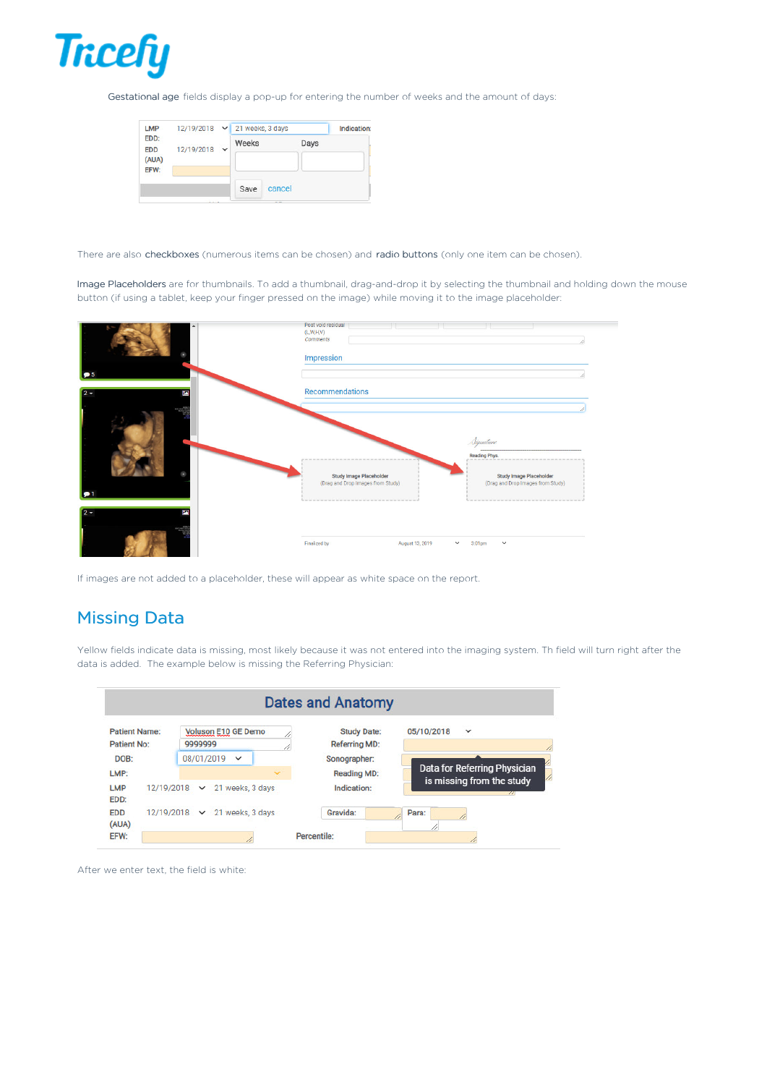

Gestational age fields display a pop-up for entering the number of weeks and the amount of days:

| <b>LMP</b>         |            |             | 12/19/2018 v 21 weeks, 3 days |        |      | Indication: |
|--------------------|------------|-------------|-------------------------------|--------|------|-------------|
| EDD:<br><b>EDD</b> | 12/19/2018 | $\check{ }$ | Weeks                         |        | Days |             |
| (AUA)<br>EFW:      |            |             |                               |        |      |             |
|                    |            |             | Save                          | cancel |      |             |

There are also checkboxes (numerous items can be chosen) and radio buttons (only one item can be chosen).

Image Placeholders are for thumbnails. To add a thumbnail, drag-and-drop it by selecting the thumbnail and holding down the mouse button (if using a tablet, keep your finger pressed on the image) while moving it to the image placeholder:



If images are not added to a placeholder, these will appear as white space on the report.

## Missing Data

Yellow fields indicate data is missing, most likely because it was not entered into the imaging system. Th field will turn right after the data is added. The example below is missing the Referring Physician:

|                                     |                                                |              | <b>Dates and Anatomy</b>                   |                              |  |
|-------------------------------------|------------------------------------------------|--------------|--------------------------------------------|------------------------------|--|
| <b>Patient Name:</b><br>Patient No: | Voluson E10 GE Demo<br>9999999                 | 11           | <b>Study Date:</b><br><b>Referring MD:</b> | 05/10/2018<br>$\checkmark$   |  |
| DOB:                                | 08/01/2019<br>$\checkmark$                     |              | Sonographer:                               | Data for Referring Physician |  |
| LMP:<br><b>LMP</b>                  | 21 weeks, 3 days<br>12/19/2018<br>$\checkmark$ | $\checkmark$ | <b>Reading MD:</b><br>Indication:          | is missing from the study    |  |
| EDD:                                |                                                |              |                                            | $\pi$                        |  |
| <b>EDD</b><br>(AUA)                 | 12/19/2018 - 21 weeks, 3 days                  |              | Gravida:                                   | Para:<br>11                  |  |
| EFW:                                |                                                |              | Percentile:                                |                              |  |

After we enter text, the field is white: